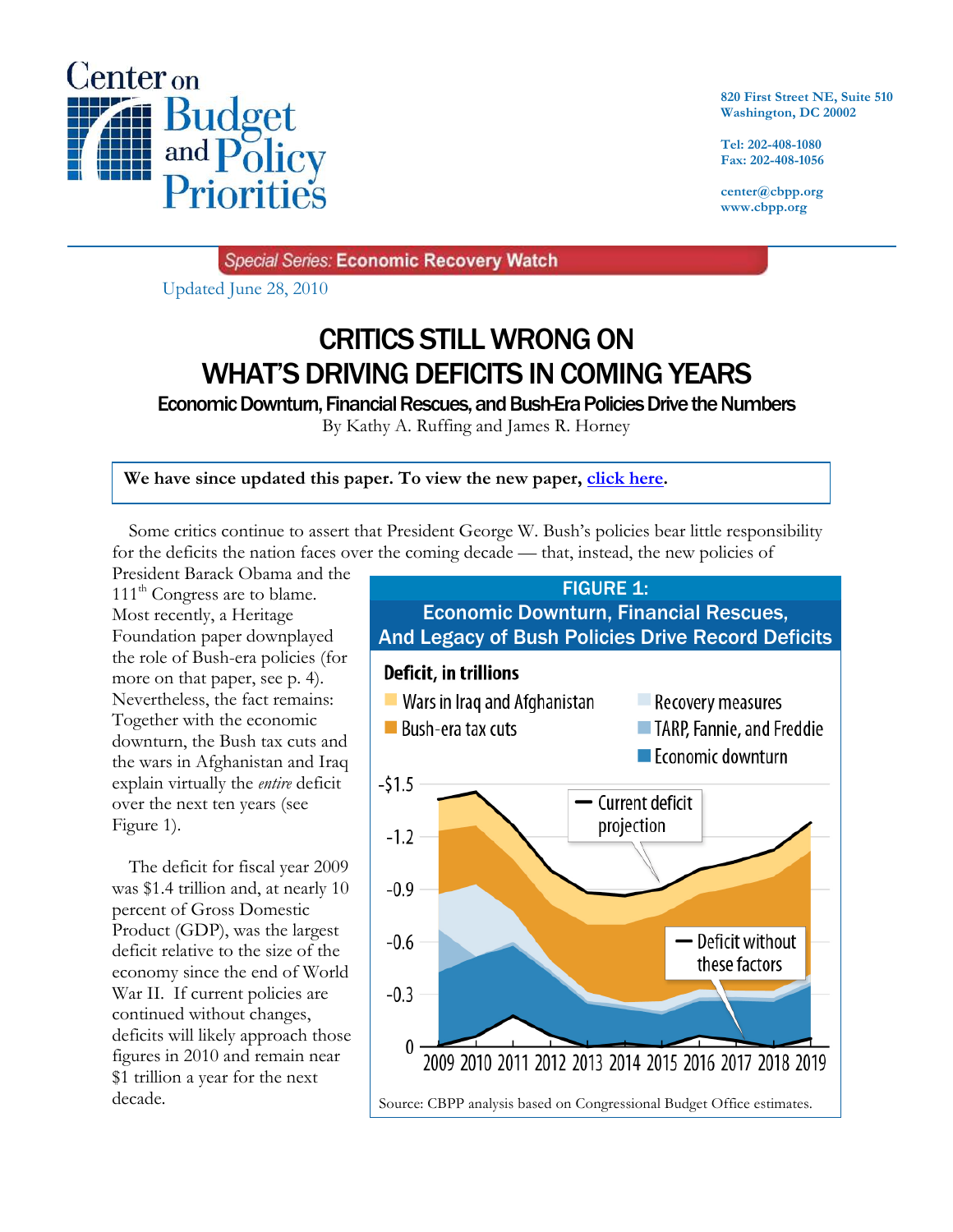

**820 First Street NE, Suite 510 Washington, DC 20002**

**Tel: 202-408-1080 Fax: 202-408-1056**

**center@cbpp.org www.cbpp.org**

Special Series: Economic Recovery Watch

Updated June 28, 2010

# CRITICS STILL WRONG ON WHAT'S DRIVING DEFICITS IN COMING YEARS

Economic Downturn, Financial Rescues, and Bush-Era Policies Drive the Numbers

By Kathy A. Ruffing and James R. Horney

**We have since updated this paper. To view the new paper, click here.**

Some critics continue to assert that President George W. Bush's policies bear little responsibility for the deficits the nation faces over the coming decade — that, instead, the new policies of

President Barack Obama and the 111<sup>th</sup> Congress are to blame. Most recently, a Heritage Foundation paper downplayed the role of Bush-era policies (for more on that paper, see p. 4). Nevertheless, the fact remains: Together with the economic downturn, the Bush tax cuts and the wars in Afghanistan and Iraq explain virtually the *entire* deficit over the next ten years (see Figure 1).

The deficit for fiscal year 2009 was \$1.4 trillion and, at nearly 10 percent of Gross Domestic Product (GDP), was the largest deficit relative to the size of the economy since the end of World War II. If current policies are continued without changes, deficits will likely approach those figures in 2010 and remain near \$1 trillion a year for the next decade.

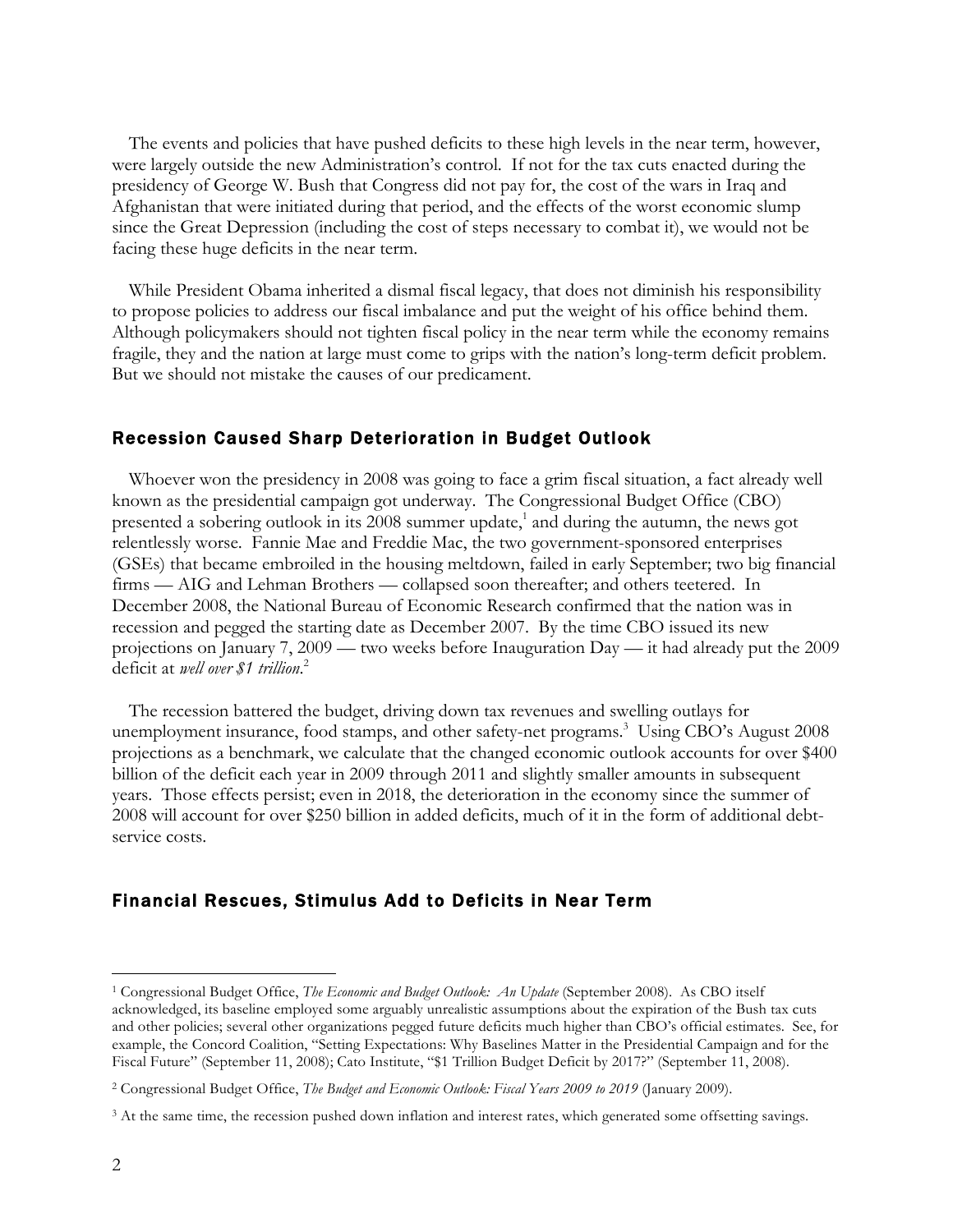The events and policies that have pushed deficits to these high levels in the near term, however, were largely outside the new Administration's control. If not for the tax cuts enacted during the presidency of George W. Bush that Congress did not pay for, the cost of the wars in Iraq and Afghanistan that were initiated during that period, and the effects of the worst economic slump since the Great Depression (including the cost of steps necessary to combat it), we would not be facing these huge deficits in the near term.

While President Obama inherited a dismal fiscal legacy, that does not diminish his responsibility to propose policies to address our fiscal imbalance and put the weight of his office behind them. Although policymakers should not tighten fiscal policy in the near term while the economy remains fragile, they and the nation at large must come to grips with the nation's long-term deficit problem. But we should not mistake the causes of our predicament.

#### Recession Caused Sharp Deterioration in Budget Outlook

Whoever won the presidency in 2008 was going to face a grim fiscal situation, a fact already well known as the presidential campaign got underway. The Congressional Budget Office (CBO) presented a sobering outlook in its 2008 summer update,<sup>1</sup> and during the autumn, the news got relentlessly worse. Fannie Mae and Freddie Mac, the two government-sponsored enterprises (GSEs) that became embroiled in the housing meltdown, failed in early September; two big financial firms — AIG and Lehman Brothers — collapsed soon thereafter; and others teetered. In December 2008, the National Bureau of Economic Research confirmed that the nation was in recession and pegged the starting date as December 2007. By the time CBO issued its new projections on January 7, 2009 — two weeks before Inauguration Day — it had already put the 2009 deficit at *well over \$1 trillion*. 2

The recession battered the budget, driving down tax revenues and swelling outlays for unemployment insurance, food stamps, and other safety-net programs. 3 Using CBO's August 2008 projections as a benchmark, we calculate that the changed economic outlook accounts for over \$400 billion of the deficit each year in 2009 through 2011 and slightly smaller amounts in subsequent years. Those effects persist; even in 2018, the deterioration in the economy since the summer of 2008 will account for over \$250 billion in added deficits, much of it in the form of additional debtservice costs.

### Financial Rescues, Stimulus Add to Deficits in Near Term

 $\overline{a}$ 

<sup>1</sup> Congressional Budget Office, *The Economic and Budget Outlook: An Update* (September 2008). As CBO itself acknowledged, its baseline employed some arguably unrealistic assumptions about the expiration of the Bush tax cuts and other policies; several other organizations pegged future deficits much higher than CBO's official estimates. See, for example, the Concord Coalition, "Setting Expectations: Why Baselines Matter in the Presidential Campaign and for the Fiscal Future" (September 11, 2008); Cato Institute, "\$1 Trillion Budget Deficit by 2017?" (September 11, 2008).

<sup>2</sup> Congressional Budget Office, *The Budget and Economic Outlook: Fiscal Years 2009 to 2019* (January 2009).

<sup>&</sup>lt;sup>3</sup> At the same time, the recession pushed down inflation and interest rates, which generated some offsetting savings.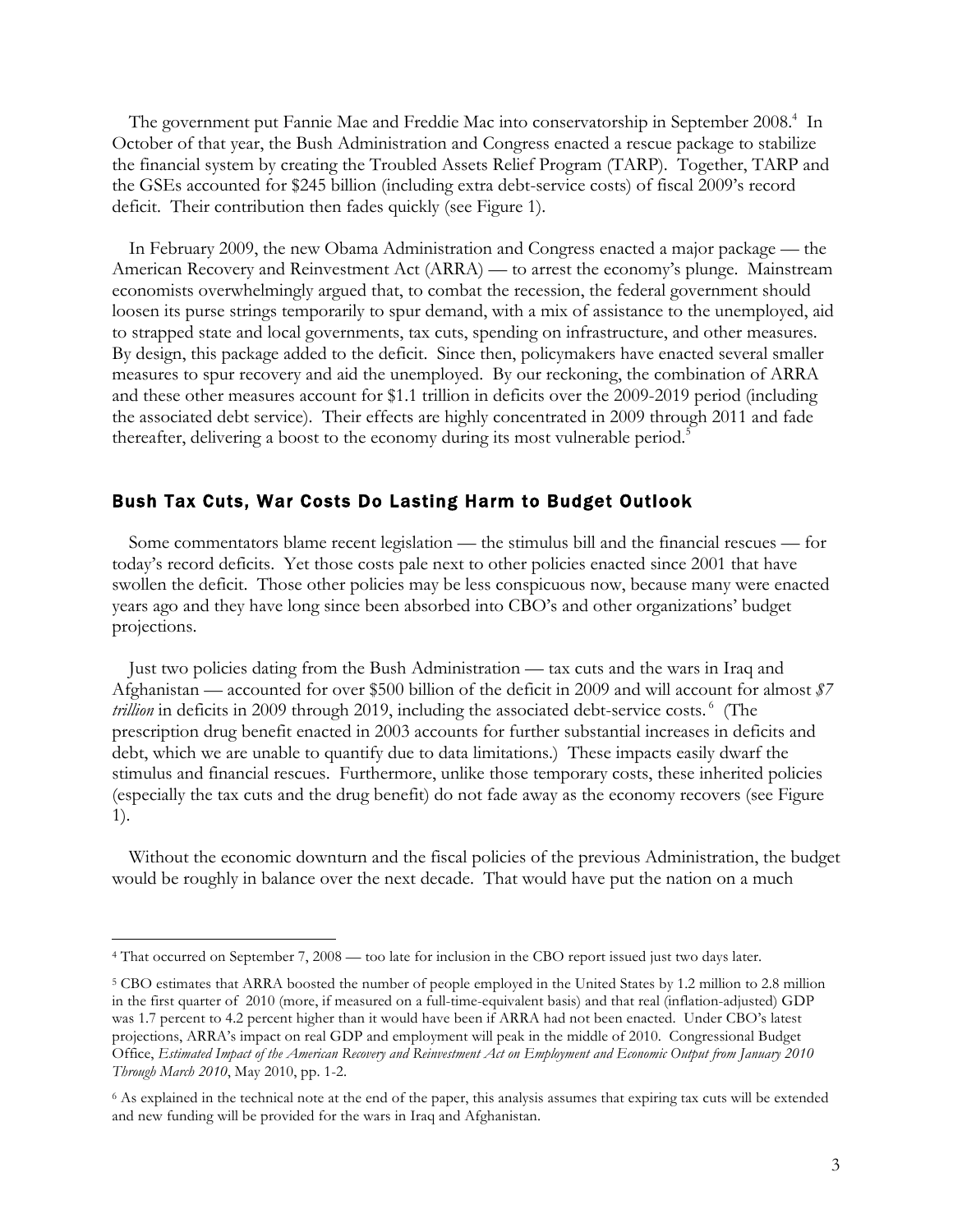The government put Fannie Mae and Freddie Mac into conservatorship in September 2008.<sup>4</sup> In October of that year, the Bush Administration and Congress enacted a rescue package to stabilize the financial system by creating the Troubled Assets Relief Program (TARP). Together, TARP and the GSEs accounted for \$245 billion (including extra debt-service costs) of fiscal 2009's record deficit. Their contribution then fades quickly (see Figure 1).

In February 2009, the new Obama Administration and Congress enacted a major package — the American Recovery and Reinvestment Act (ARRA) — to arrest the economy's plunge. Mainstream economists overwhelmingly argued that, to combat the recession, the federal government should loosen its purse strings temporarily to spur demand, with a mix of assistance to the unemployed, aid to strapped state and local governments, tax cuts, spending on infrastructure, and other measures. By design, this package added to the deficit. Since then, policymakers have enacted several smaller measures to spur recovery and aid the unemployed. By our reckoning, the combination of ARRA and these other measures account for \$1.1 trillion in deficits over the 2009-2019 period (including the associated debt service). Their effects are highly concentrated in 2009 through 2011 and fade thereafter, delivering a boost to the economy during its most vulnerable period.<sup>5</sup>

#### Bush Tax Cuts, War Costs Do Lasting Harm to Budget Outlook

Some commentators blame recent legislation — the stimulus bill and the financial rescues — for today's record deficits. Yet those costs pale next to other policies enacted since 2001 that have swollen the deficit. Those other policies may be less conspicuous now, because many were enacted years ago and they have long since been absorbed into CBO's and other organizations' budget projections.

Just two policies dating from the Bush Administration — tax cuts and the wars in Iraq and Afghanistan — accounted for over \$500 billion of the deficit in 2009 and will account for almost *\$7*  trillion in deficits in 2009 through 2019, including the associated debt-service costs.<sup>6</sup> (The prescription drug benefit enacted in 2003 accounts for further substantial increases in deficits and debt, which we are unable to quantify due to data limitations.) These impacts easily dwarf the stimulus and financial rescues. Furthermore, unlike those temporary costs, these inherited policies (especially the tax cuts and the drug benefit) do not fade away as the economy recovers (see Figure 1).

Without the economic downturn and the fiscal policies of the previous Administration, the budget would be roughly in balance over the next decade. That would have put the nation on a much

-

<sup>4</sup> That occurred on September 7, 2008 — too late for inclusion in the CBO report issued just two days later.

<sup>5</sup> CBO estimates that ARRA boosted the number of people employed in the United States by 1.2 million to 2.8 million in the first quarter of 2010 (more, if measured on a full-time-equivalent basis) and that real (inflation-adjusted) GDP was 1.7 percent to 4.2 percent higher than it would have been if ARRA had not been enacted. Under CBO's latest projections, ARRA's impact on real GDP and employment will peak in the middle of 2010. Congressional Budget Office, *Estimated Impact of the American Recovery and Reinvestment Act on Employment and Economic Output from January 2010 Through March 2010*, May 2010, pp. 1-2.

<sup>6</sup> As explained in the technical note at the end of the paper, this analysis assumes that expiring tax cuts will be extended and new funding will be provided for the wars in Iraq and Afghanistan.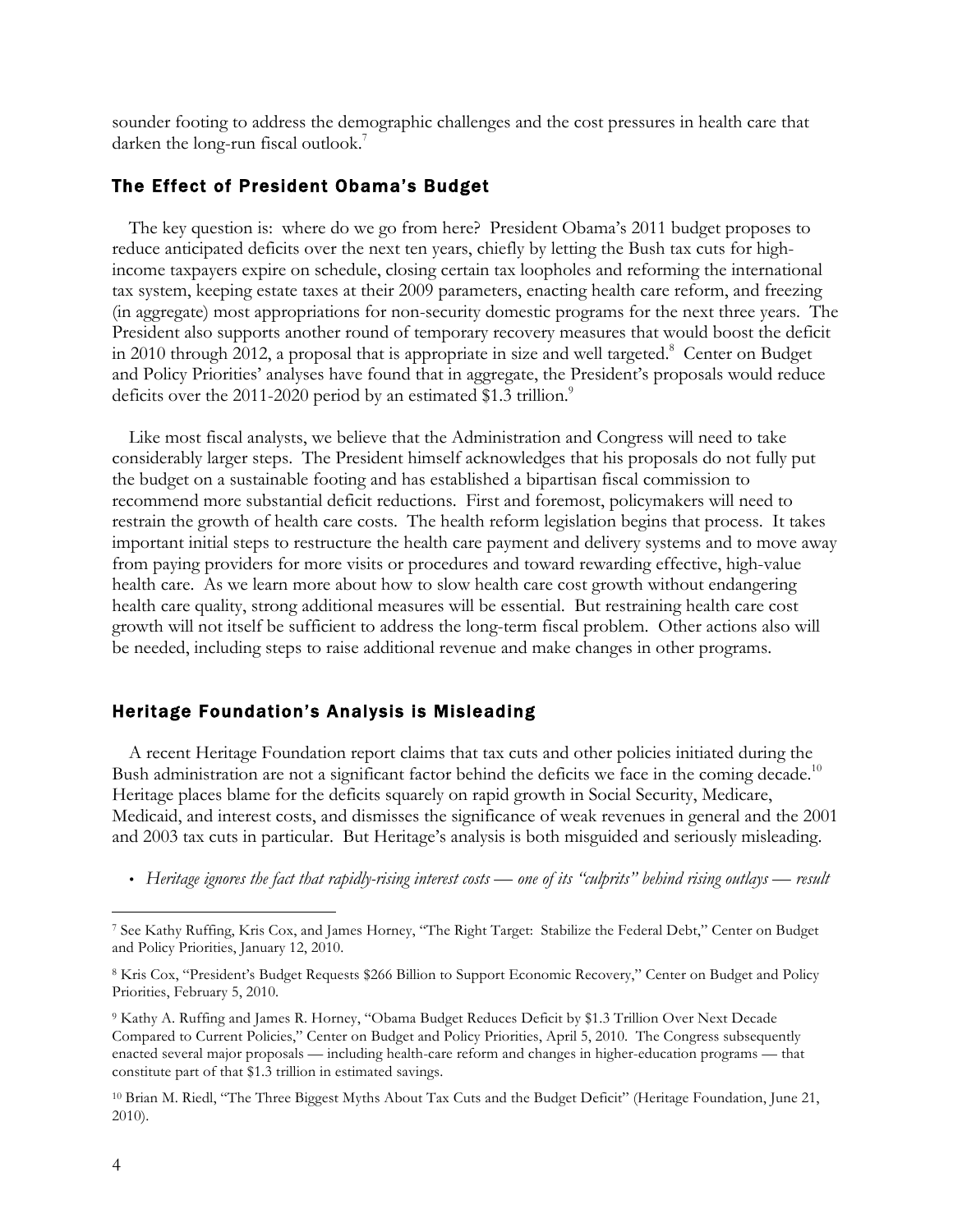sounder footing to address the demographic challenges and the cost pressures in health care that darken the long-run fiscal outlook.<sup>7</sup>

#### The Effect of President Obama's Budget

The key question is: where do we go from here? President Obama's 2011 budget proposes to reduce anticipated deficits over the next ten years, chiefly by letting the Bush tax cuts for highincome taxpayers expire on schedule, closing certain tax loopholes and reforming the international tax system, keeping estate taxes at their 2009 parameters, enacting health care reform, and freezing (in aggregate) most appropriations for non-security domestic programs for the next three years. The President also supports another round of temporary recovery measures that would boost the deficit in 2010 through 2012, a proposal that is appropriate in size and well targeted. 8 Center on Budget and Policy Priorities' analyses have found that in aggregate, the President's proposals would reduce deficits over the 2011-2020 period by an estimated \$1.3 trillion.<sup>9</sup>

Like most fiscal analysts, we believe that the Administration and Congress will need to take considerably larger steps. The President himself acknowledges that his proposals do not fully put the budget on a sustainable footing and has established a bipartisan fiscal commission to recommend more substantial deficit reductions. First and foremost, policymakers will need to restrain the growth of health care costs. The health reform legislation begins that process. It takes important initial steps to restructure the health care payment and delivery systems and to move away from paying providers for more visits or procedures and toward rewarding effective, high-value health care. As we learn more about how to slow health care cost growth without endangering health care quality, strong additional measures will be essential. But restraining health care cost growth will not itself be sufficient to address the long-term fiscal problem. Other actions also will be needed, including steps to raise additional revenue and make changes in other programs.

#### Heritage Foundation's Analysis is Misleading

 A recent Heritage Foundation report claims that tax cuts and other policies initiated during the Bush administration are not a significant factor behind the deficits we face in the coming decade.<sup>10</sup> Heritage places blame for the deficits squarely on rapid growth in Social Security, Medicare, Medicaid, and interest costs, and dismisses the significance of weak revenues in general and the 2001 and 2003 tax cuts in particular. But Heritage's analysis is both misguided and seriously misleading.

• Heritage ignores the fact that rapidly-rising interest costs — one of its "culprits" behind rising outlays — result

-

<sup>7</sup> See Kathy Ruffing, Kris Cox, and James Horney, "The Right Target: Stabilize the Federal Debt," Center on Budget and Policy Priorities, January 12, 2010.

<sup>8</sup> Kris Cox, "President's Budget Requests \$266 Billion to Support Economic Recovery," Center on Budget and Policy Priorities, February 5, 2010.

<sup>9</sup> Kathy A. Ruffing and James R. Horney, "Obama Budget Reduces Deficit by \$1.3 Trillion Over Next Decade Compared to Current Policies," Center on Budget and Policy Priorities, April 5, 2010. The Congress subsequently enacted several major proposals — including health-care reform and changes in higher-education programs — that constitute part of that \$1.3 trillion in estimated savings.

<sup>10</sup> Brian M. Riedl, "The Three Biggest Myths About Tax Cuts and the Budget Deficit" (Heritage Foundation, June 21, 2010).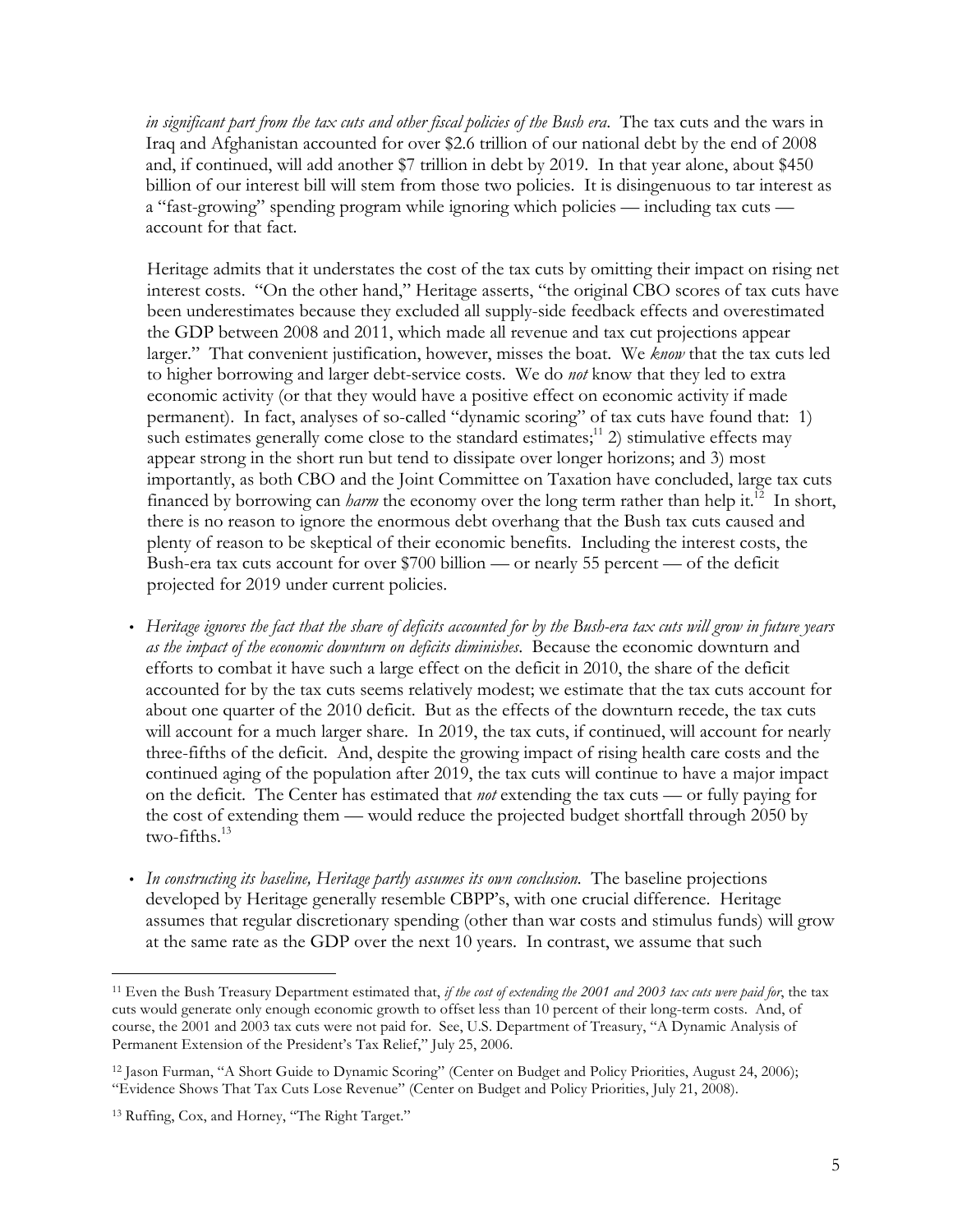*in significant part from the tax cuts and other fiscal policies of the Bush era*. The tax cuts and the wars in Iraq and Afghanistan accounted for over \$2.6 trillion of our national debt by the end of 2008 and, if continued, will add another \$7 trillion in debt by 2019. In that year alone, about \$450 billion of our interest bill will stem from those two policies. It is disingenuous to tar interest as a "fast-growing" spending program while ignoring which policies — including tax cuts account for that fact.

Heritage admits that it understates the cost of the tax cuts by omitting their impact on rising net interest costs. "On the other hand," Heritage asserts, "the original CBO scores of tax cuts have been underestimates because they excluded all supply-side feedback effects and overestimated the GDP between 2008 and 2011, which made all revenue and tax cut projections appear larger." That convenient justification, however, misses the boat. We *know* that the tax cuts led to higher borrowing and larger debt-service costs. We do *not* know that they led to extra economic activity (or that they would have a positive effect on economic activity if made permanent). In fact, analyses of so-called "dynamic scoring" of tax cuts have found that: 1) such estimates generally come close to the standard estimates;<sup>11</sup> 2) stimulative effects may appear strong in the short run but tend to dissipate over longer horizons; and 3) most importantly, as both CBO and the Joint Committee on Taxation have concluded, large tax cuts financed by borrowing can *harm* the economy over the long term rather than help it.<sup>12</sup> In short, there is no reason to ignore the enormous debt overhang that the Bush tax cuts caused and plenty of reason to be skeptical of their economic benefits. Including the interest costs, the Bush-era tax cuts account for over \$700 billion — or nearly 55 percent — of the deficit projected for 2019 under current policies.

- *Heritage ignores the fact that the share of deficits accounted for by the Bush-era tax cuts will grow in future years as the impact of the economic downturn on deficits diminishes*. Because the economic downturn and efforts to combat it have such a large effect on the deficit in 2010, the share of the deficit accounted for by the tax cuts seems relatively modest; we estimate that the tax cuts account for about one quarter of the 2010 deficit. But as the effects of the downturn recede, the tax cuts will account for a much larger share. In 2019, the tax cuts, if continued, will account for nearly three-fifths of the deficit. And, despite the growing impact of rising health care costs and the continued aging of the population after 2019, the tax cuts will continue to have a major impact on the deficit. The Center has estimated that *not* extending the tax cuts — or fully paying for the cost of extending them — would reduce the projected budget shortfall through 2050 by  $two-fifths.<sup>13</sup>$
- *In constructing its baseline, Heritage partly assumes its own conclusion*. The baseline projections developed by Heritage generally resemble CBPP's, with one crucial difference. Heritage assumes that regular discretionary spending (other than war costs and stimulus funds) will grow at the same rate as the GDP over the next 10 years. In contrast, we assume that such

 $\overline{a}$ <sup>11</sup> Even the Bush Treasury Department estimated that, *if the cost of extending the 2001 and 2003 tax cuts were paid for*, the tax cuts would generate only enough economic growth to offset less than 10 percent of their long-term costs. And, of course, the 2001 and 2003 tax cuts were not paid for. See, U.S. Department of Treasury, "A Dynamic Analysis of Permanent Extension of the President's Tax Relief," July 25, 2006.

<sup>12</sup> Jason Furman, "A Short Guide to Dynamic Scoring" (Center on Budget and Policy Priorities, August 24, 2006); "Evidence Shows That Tax Cuts Lose Revenue" (Center on Budget and Policy Priorities, July 21, 2008).

<sup>13</sup> Ruffing, Cox, and Horney, "The Right Target."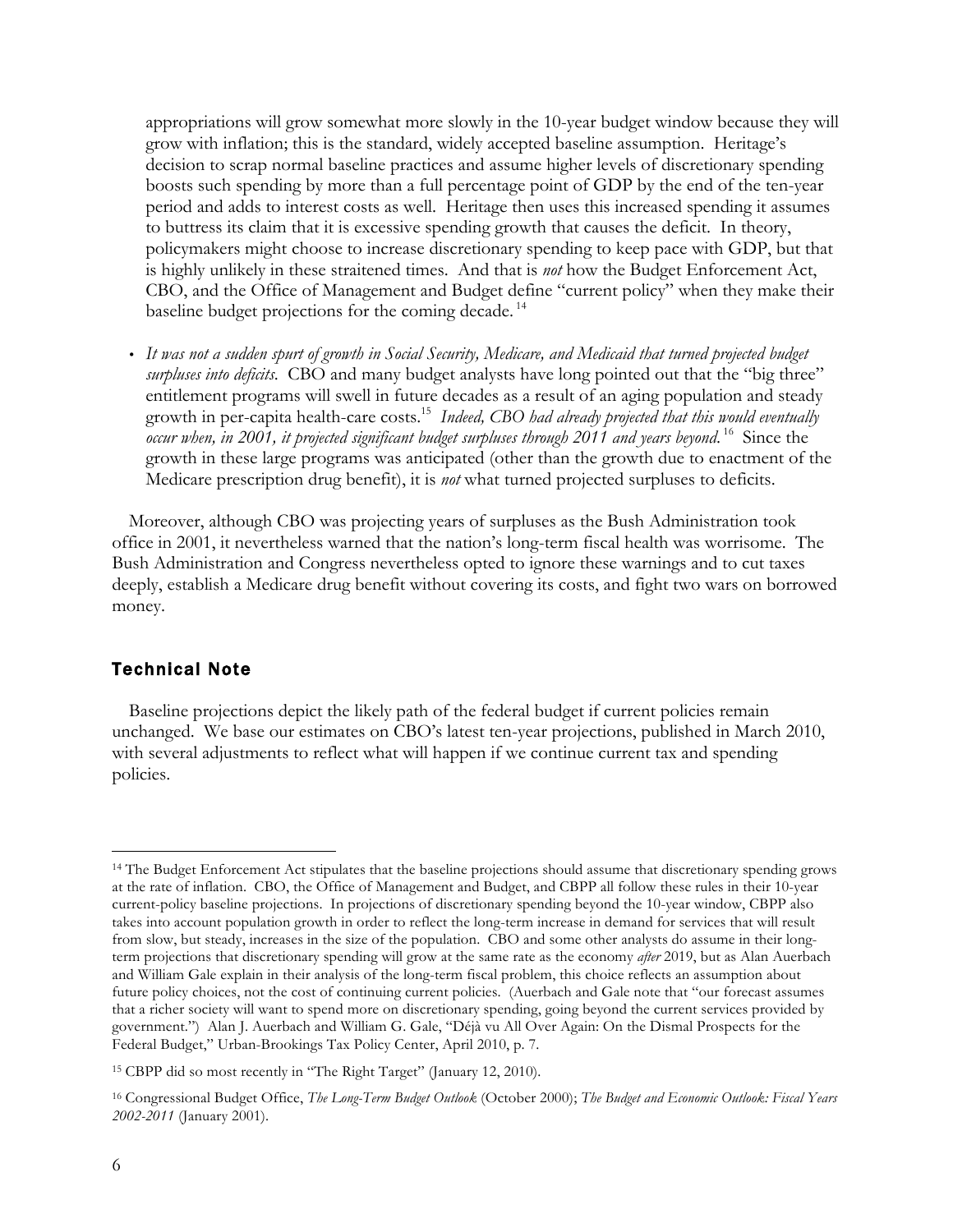appropriations will grow somewhat more slowly in the 10-year budget window because they will grow with inflation; this is the standard, widely accepted baseline assumption. Heritage's decision to scrap normal baseline practices and assume higher levels of discretionary spending boosts such spending by more than a full percentage point of GDP by the end of the ten-year period and adds to interest costs as well. Heritage then uses this increased spending it assumes to buttress its claim that it is excessive spending growth that causes the deficit. In theory, policymakers might choose to increase discretionary spending to keep pace with GDP, but that is highly unlikely in these straitened times. And that is *not* how the Budget Enforcement Act, CBO, and the Office of Management and Budget define "current policy" when they make their baseline budget projections for the coming decade.<sup>14</sup>

• *It was not a sudden spurt of growth in Social Security, Medicare, and Medicaid that turned projected budget surpluses into deficits*. CBO and many budget analysts have long pointed out that the "big three" entitlement programs will swell in future decades as a result of an aging population and steady growth in per-capita health-care costs.<sup>15</sup> Indeed, CBO had already projected that this would eventually occur when, in 2001, it projected significant budget surpluses through 2011 and years beyond.<sup>16</sup> Since the growth in these large programs was anticipated (other than the growth due to enactment of the Medicare prescription drug benefit), it is *not* what turned projected surpluses to deficits.

 Moreover, although CBO was projecting years of surpluses as the Bush Administration took office in 2001, it nevertheless warned that the nation's long-term fiscal health was worrisome. The Bush Administration and Congress nevertheless opted to ignore these warnings and to cut taxes deeply, establish a Medicare drug benefit without covering its costs, and fight two wars on borrowed money.

## Technical Note

Baseline projections depict the likely path of the federal budget if current policies remain unchanged. We base our estimates on CBO's latest ten-year projections, published in March 2010, with several adjustments to reflect what will happen if we continue current tax and spending policies.

 $\overline{a}$ 

<sup>14</sup> The Budget Enforcement Act stipulates that the baseline projections should assume that discretionary spending grows at the rate of inflation. CBO, the Office of Management and Budget, and CBPP all follow these rules in their 10-year current-policy baseline projections. In projections of discretionary spending beyond the 10-year window, CBPP also takes into account population growth in order to reflect the long-term increase in demand for services that will result from slow, but steady, increases in the size of the population. CBO and some other analysts do assume in their longterm projections that discretionary spending will grow at the same rate as the economy *after* 2019, but as Alan Auerbach and William Gale explain in their analysis of the long-term fiscal problem, this choice reflects an assumption about future policy choices, not the cost of continuing current policies. (Auerbach and Gale note that "our forecast assumes that a richer society will want to spend more on discretionary spending, going beyond the current services provided by government.") Alan J. Auerbach and William G. Gale, "Déjà vu All Over Again: On the Dismal Prospects for the Federal Budget," Urban-Brookings Tax Policy Center, April 2010, p. 7.

<sup>15</sup> CBPP did so most recently in "The Right Target" (January 12, 2010).

<sup>16</sup> Congressional Budget Office, *The Long-Term Budget Outlook* (October 2000); *The Budget and Economic Outlook: Fiscal Years 2002-2011* (January 2001).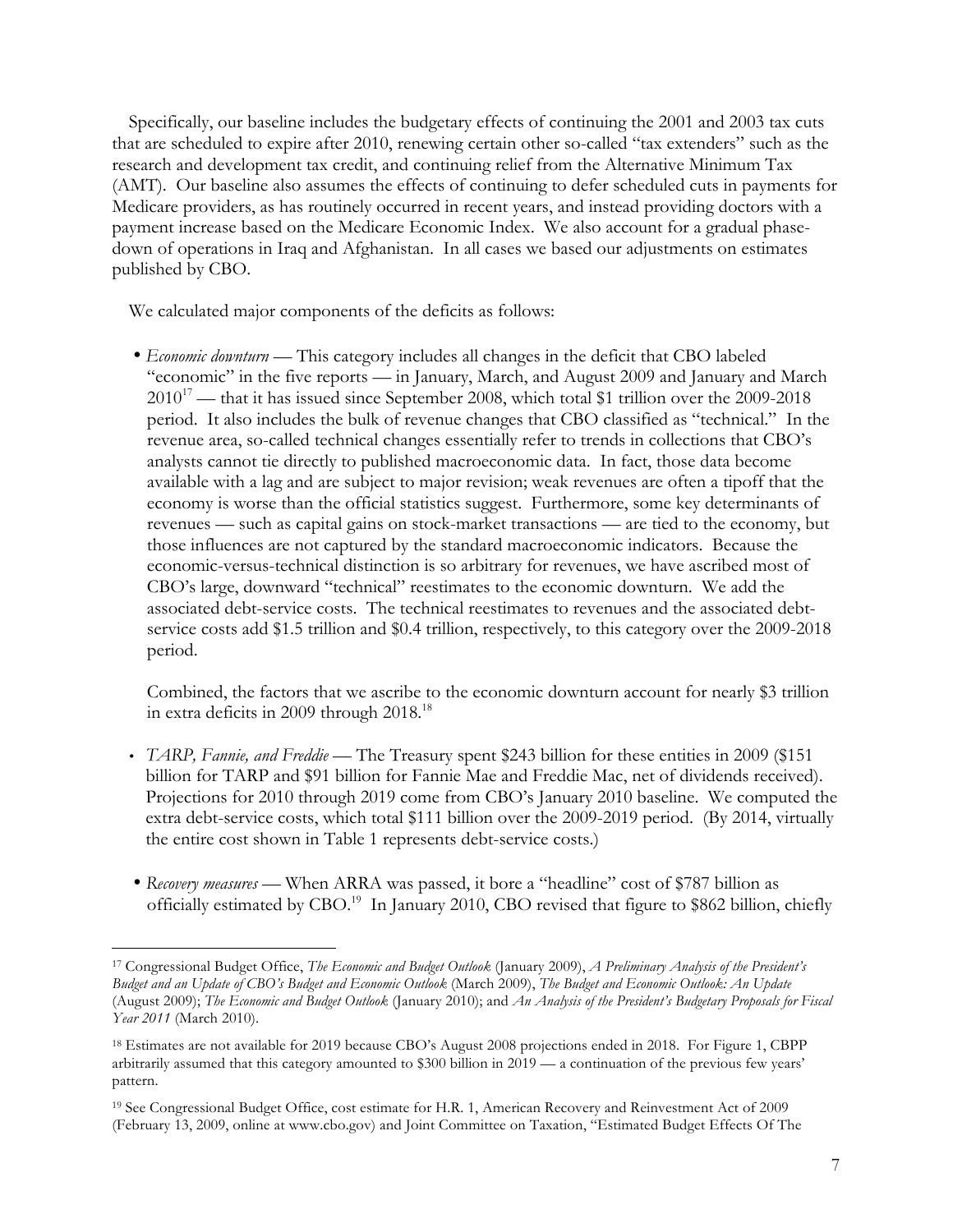Specifically, our baseline includes the budgetary effects of continuing the 2001 and 2003 tax cuts that are scheduled to expire after 2010, renewing certain other so-called "tax extenders" such as the research and development tax credit, and continuing relief from the Alternative Minimum Tax (AMT). Our baseline also assumes the effects of continuing to defer scheduled cuts in payments for Medicare providers, as has routinely occurred in recent years, and instead providing doctors with a payment increase based on the Medicare Economic Index. We also account for a gradual phasedown of operations in Iraq and Afghanistan. In all cases we based our adjustments on estimates published by CBO.

We calculated major components of the deficits as follows:

• *Economic downturn* — This category includes all changes in the deficit that CBO labeled "economic" in the five reports — in January, March, and August 2009 and January and March  $2010^{17}$  — that it has issued since September 2008, which total \$1 trillion over the 2009-2018 period. It also includes the bulk of revenue changes that CBO classified as "technical." In the revenue area, so-called technical changes essentially refer to trends in collections that CBO's analysts cannot tie directly to published macroeconomic data. In fact, those data become available with a lag and are subject to major revision; weak revenues are often a tipoff that the economy is worse than the official statistics suggest. Furthermore, some key determinants of revenues — such as capital gains on stock-market transactions — are tied to the economy, but those influences are not captured by the standard macroeconomic indicators. Because the economic-versus-technical distinction is so arbitrary for revenues, we have ascribed most of CBO's large, downward "technical" reestimates to the economic downturn. We add the associated debt-service costs. The technical reestimates to revenues and the associated debtservice costs add \$1.5 trillion and \$0.4 trillion, respectively, to this category over the 2009-2018 period.

Combined, the factors that we ascribe to the economic downturn account for nearly \$3 trillion in extra deficits in 2009 through 2018.<sup>18</sup>

- *TARP, Fannie, and Freddie* The Treasury spent \$243 billion for these entities in 2009 (\$151 billion for TARP and \$91 billion for Fannie Mae and Freddie Mac, net of dividends received). Projections for 2010 through 2019 come from CBO's January 2010 baseline. We computed the extra debt-service costs, which total \$111 billion over the 2009-2019 period. (By 2014, virtually the entire cost shown in Table 1 represents debt-service costs.)
- *Recovery measures* When ARRA was passed, it bore a "headline" cost of \$787 billion as officially estimated by CBO.<sup>19</sup> In January 2010, CBO revised that figure to \$862 billion, chiefly

<sup>-</sup><sup>17</sup> Congressional Budget Office, *The Economic and Budget Outlook* (January 2009), *A Preliminary Analysis of the President's Budget and an Update of CBO's Budget and Economic Outlook* (March 2009), *The Budget and Economic Outlook: An Update* (August 2009); *The Economic and Budget Outlook* (January 2010); and *An Analysis of the President's Budgetary Proposals for Fiscal Year 2011* (March 2010).

<sup>18</sup> Estimates are not available for 2019 because CBO's August 2008 projections ended in 2018. For Figure 1, CBPP arbitrarily assumed that this category amounted to \$300 billion in 2019 — a continuation of the previous few years' pattern.

<sup>19</sup> See Congressional Budget Office, cost estimate for H.R. 1, American Recovery and Reinvestment Act of 2009 (February 13, 2009, online at www.cbo.gov) and Joint Committee on Taxation, "Estimated Budget Effects Of The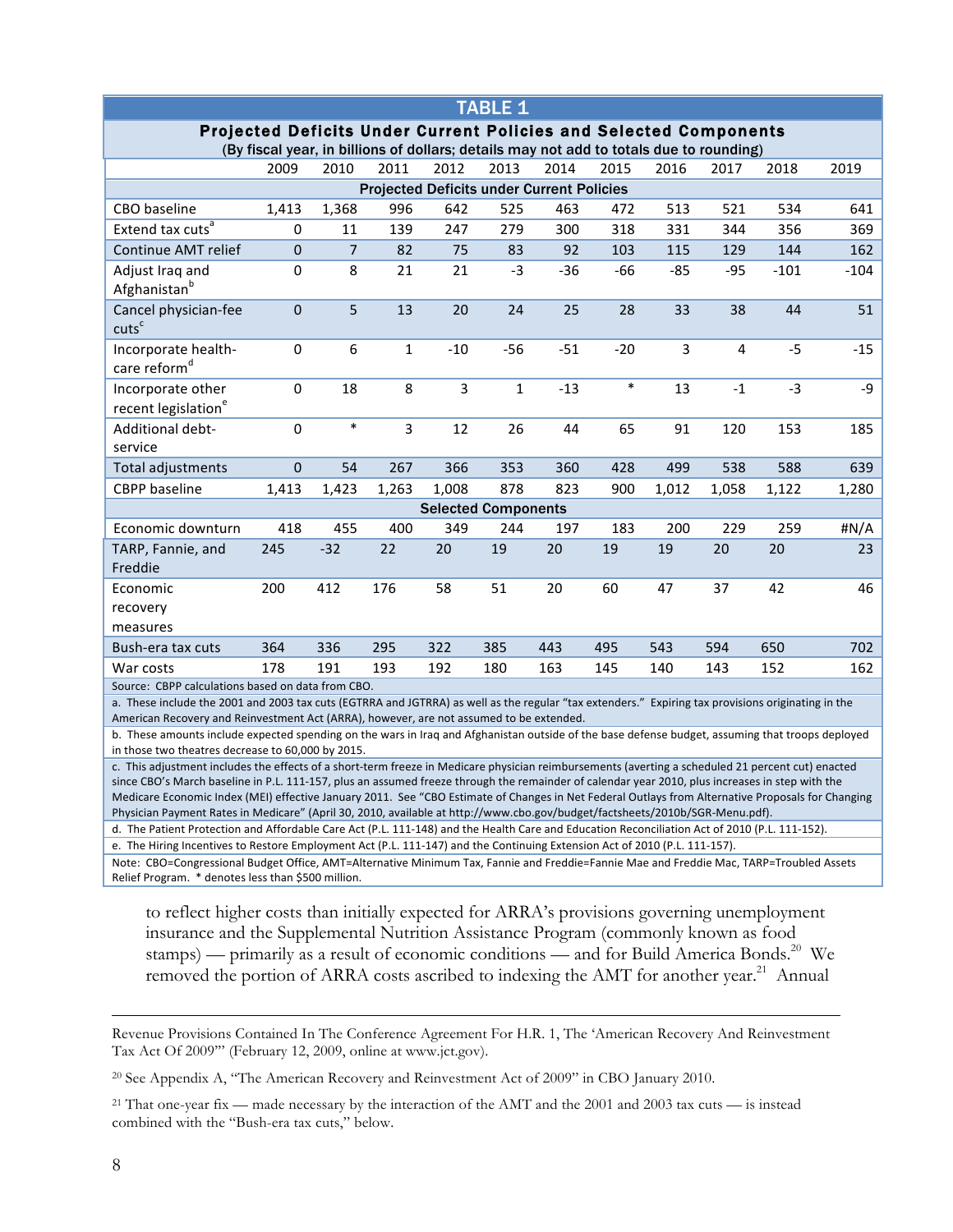| <b>TABLE 1</b>                                                                                                                                                                                                                                                                                                                                                                                                                                                                                                                                                                                                                                                                                                                             |                  |                |                |       |              |       |        |                |             |        |        |
|--------------------------------------------------------------------------------------------------------------------------------------------------------------------------------------------------------------------------------------------------------------------------------------------------------------------------------------------------------------------------------------------------------------------------------------------------------------------------------------------------------------------------------------------------------------------------------------------------------------------------------------------------------------------------------------------------------------------------------------------|------------------|----------------|----------------|-------|--------------|-------|--------|----------------|-------------|--------|--------|
| <b>Projected Deficits Under Current Policies and Selected Components</b><br>(By fiscal year, in billions of dollars; details may not add to totals due to rounding)                                                                                                                                                                                                                                                                                                                                                                                                                                                                                                                                                                        |                  |                |                |       |              |       |        |                |             |        |        |
|                                                                                                                                                                                                                                                                                                                                                                                                                                                                                                                                                                                                                                                                                                                                            |                  |                |                |       |              |       |        |                |             |        |        |
|                                                                                                                                                                                                                                                                                                                                                                                                                                                                                                                                                                                                                                                                                                                                            | 2009             | 2010           | 2011           | 2012  | 2013         | 2014  | 2015   | 2016           | 2017        | 2018   | 2019   |
| <b>Projected Deficits under Current Policies</b><br>CBO baseline<br>1,368<br>513<br>534<br>641<br>1,413<br>996<br>642<br>525<br>463<br>472<br>521                                                                                                                                                                                                                                                                                                                                                                                                                                                                                                                                                                                          |                  |                |                |       |              |       |        |                |             |        |        |
| Extend tax cuts <sup>a</sup>                                                                                                                                                                                                                                                                                                                                                                                                                                                                                                                                                                                                                                                                                                               | 0                | 11             | 139            | 247   | 279          | 300   | 318    |                | 344         | 356    | 369    |
| Continue AMT relief                                                                                                                                                                                                                                                                                                                                                                                                                                                                                                                                                                                                                                                                                                                        | $\pmb{0}$        | $\overline{7}$ | 82             | 75    | 83           | 92    | 103    | 331<br>115     | 129         | 144    | 162    |
| Adjust Iraq and                                                                                                                                                                                                                                                                                                                                                                                                                                                                                                                                                                                                                                                                                                                            | 0                | 8              | 21             | 21    | $-3$         | $-36$ | $-66$  | $-85$          | $-95$       | $-101$ | $-104$ |
| Afghanistan <sup>b</sup>                                                                                                                                                                                                                                                                                                                                                                                                                                                                                                                                                                                                                                                                                                                   |                  |                |                |       |              |       |        |                |             |        |        |
| Cancel physician-fee<br>cuts <sup>c</sup>                                                                                                                                                                                                                                                                                                                                                                                                                                                                                                                                                                                                                                                                                                  | $\boldsymbol{0}$ | 5              | 13             | 20    | 24           | 25    | 28     | 33             | 38          | 44     | 51     |
| Incorporate health-<br>care reform <sup>d</sup>                                                                                                                                                                                                                                                                                                                                                                                                                                                                                                                                                                                                                                                                                            | $\pmb{0}$        | 6              | $\mathbf{1}$   | $-10$ | $-56$        | $-51$ | $-20$  | $\overline{3}$ | 4           | $-5$   | $-15$  |
| Incorporate other<br>recent legislation <sup>e</sup>                                                                                                                                                                                                                                                                                                                                                                                                                                                                                                                                                                                                                                                                                       | $\pmb{0}$        | 18             | 8              | 3     | $\mathbf{1}$ | $-13$ | $\ast$ | 13             | $^{\rm -1}$ | $-3$   | $-9$   |
| Additional debt-<br>service                                                                                                                                                                                                                                                                                                                                                                                                                                                                                                                                                                                                                                                                                                                | $\pmb{0}$        | $\ast$         | $\overline{3}$ | 12    | 26           | 44    | 65     | 91             | 120         | 153    | 185    |
| Total adjustments                                                                                                                                                                                                                                                                                                                                                                                                                                                                                                                                                                                                                                                                                                                          | $\pmb{0}$        | 54             | 267            | 366   | 353          | 360   | 428    | 499            | 538         | 588    | 639    |
| <b>CBPP</b> baseline                                                                                                                                                                                                                                                                                                                                                                                                                                                                                                                                                                                                                                                                                                                       | 1,413            | 1,423          | 1,263          | 1,008 | 878          | 823   | 900    | 1,012          | 1,058       | 1,122  | 1,280  |
| <b>Selected Components</b>                                                                                                                                                                                                                                                                                                                                                                                                                                                                                                                                                                                                                                                                                                                 |                  |                |                |       |              |       |        |                |             |        |        |
| Economic downturn                                                                                                                                                                                                                                                                                                                                                                                                                                                                                                                                                                                                                                                                                                                          | 418              | 455            | 400            | 349   | 244          | 197   | 183    | 200            | 229         | 259    | #N/A   |
| TARP, Fannie, and<br>Freddie                                                                                                                                                                                                                                                                                                                                                                                                                                                                                                                                                                                                                                                                                                               | 245              | $-32$          | 22             | 20    | 19           | 20    | 19     | 19             | 20          | 20     | 23     |
| Economic<br>recovery<br>measures                                                                                                                                                                                                                                                                                                                                                                                                                                                                                                                                                                                                                                                                                                           | 200              | 412            | 176            | 58    | 51           | 20    | 60     | 47             | 37          | 42     | 46     |
| Bush-era tax cuts                                                                                                                                                                                                                                                                                                                                                                                                                                                                                                                                                                                                                                                                                                                          | 364              | 336            | 295            | 322   | 385          | 443   | 495    | 543            | 594         | 650    | 702    |
| War costs                                                                                                                                                                                                                                                                                                                                                                                                                                                                                                                                                                                                                                                                                                                                  | 178              | 191            | 193            | 192   | 180          | 163   | 145    | 140            | 143         | 152    | 162    |
| Source: CBPP calculations based on data from CBO.                                                                                                                                                                                                                                                                                                                                                                                                                                                                                                                                                                                                                                                                                          |                  |                |                |       |              |       |        |                |             |        |        |
| a. These include the 2001 and 2003 tax cuts (EGTRRA and JGTRRA) as well as the regular "tax extenders." Expiring tax provisions originating in the                                                                                                                                                                                                                                                                                                                                                                                                                                                                                                                                                                                         |                  |                |                |       |              |       |        |                |             |        |        |
| American Recovery and Reinvestment Act (ARRA), however, are not assumed to be extended.<br>b. These amounts include expected spending on the wars in Iraq and Afghanistan outside of the base defense budget, assuming that troops deployed                                                                                                                                                                                                                                                                                                                                                                                                                                                                                                |                  |                |                |       |              |       |        |                |             |        |        |
| in those two theatres decrease to 60,000 by 2015.                                                                                                                                                                                                                                                                                                                                                                                                                                                                                                                                                                                                                                                                                          |                  |                |                |       |              |       |        |                |             |        |        |
| c. This adjustment includes the effects of a short-term freeze in Medicare physician reimbursements (averting a scheduled 21 percent cut) enacted<br>since CBO's March baseline in P.L. 111-157, plus an assumed freeze through the remainder of calendar year 2010, plus increases in step with the<br>Medicare Economic Index (MEI) effective January 2011. See "CBO Estimate of Changes in Net Federal Outlays from Alternative Proposals for Changing<br>Physician Payment Rates in Medicare" (April 30, 2010, available at http://www.cbo.gov/budget/factsheets/2010b/SGR-Menu.pdf).<br>d. The Patient Protection and Affordable Care Act (P.L. 111-148) and the Health Care and Education Reconciliation Act of 2010 (P.L. 111-152). |                  |                |                |       |              |       |        |                |             |        |        |

e. The Hiring Incentives to Restore Employment Act (P.L. 111-147) and the Continuing Extension Act of 2010 (P.L. 111-157).

Note: CBO=Congressional Budget Office, AMT=Alternative Minimum Tax, Fannie and Freddie=Fannie Mae and Freddie Mac, TARP=Troubled Assets Relief Program. \* denotes less than \$500 million.

to reflect higher costs than initially expected for ARRA's provisions governing unemployment insurance and the Supplemental Nutrition Assistance Program (commonly known as food stamps) — primarily as a result of economic conditions — and for Build America Bonds.<sup>20</sup> We removed the portion of ARRA costs ascribed to indexing the AMT for another year.<sup>21</sup> Annual

Revenue Provisions Contained In The Conference Agreement For H.R. 1, The 'American Recovery And Reinvestment Tax Act Of 2009'" (February 12, 2009, online at www.jct.gov).

<sup>20</sup> See Appendix A, "The American Recovery and Reinvestment Act of 2009" in CBO January 2010.

<sup>21</sup> That one-year fix — made necessary by the interaction of the AMT and the 2001 and 2003 tax cuts — is instead combined with the "Bush-era tax cuts," below.

 $\overline{a}$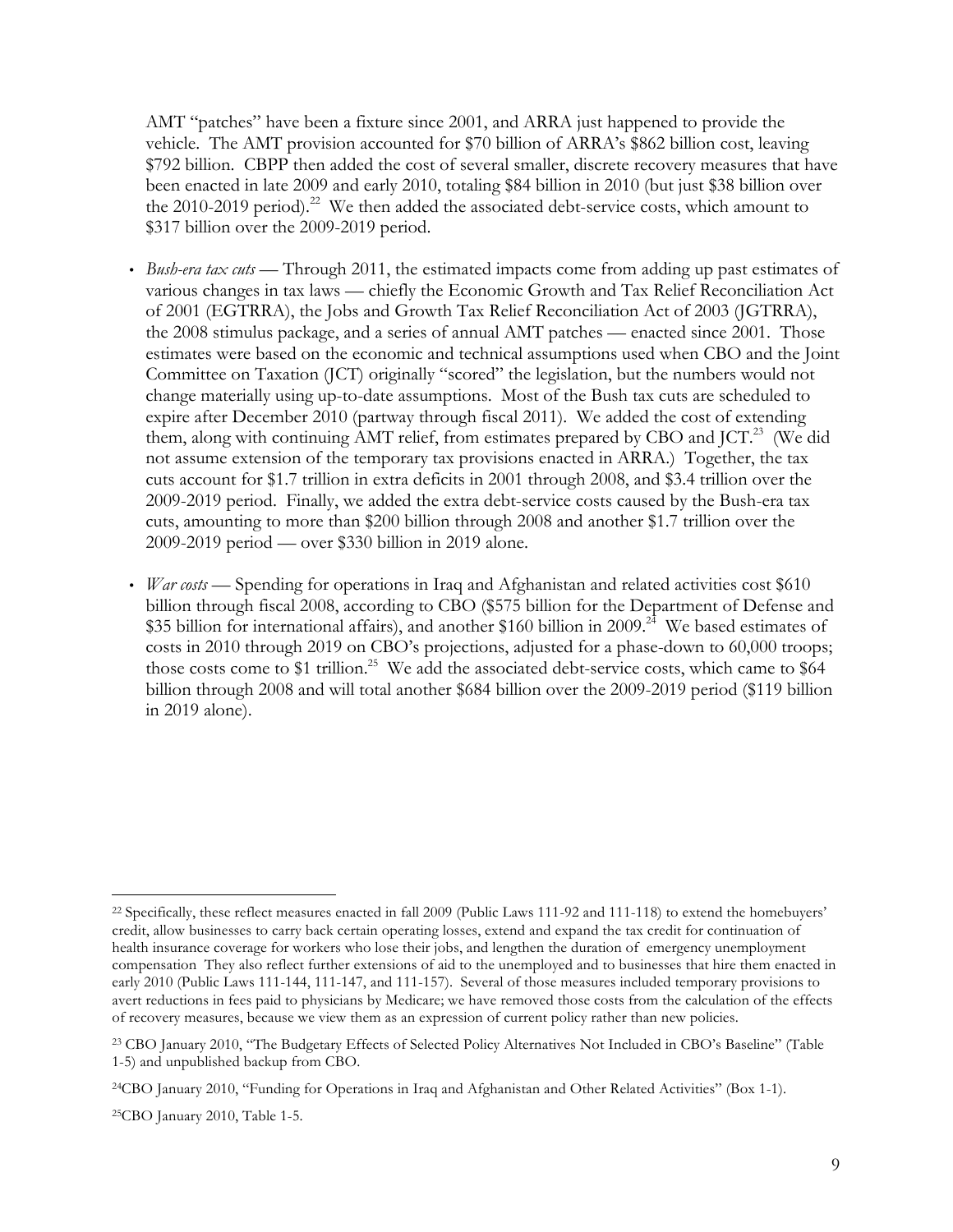AMT "patches" have been a fixture since 2001, and ARRA just happened to provide the vehicle. The AMT provision accounted for \$70 billion of ARRA's \$862 billion cost, leaving \$792 billion. CBPP then added the cost of several smaller, discrete recovery measures that have been enacted in late 2009 and early 2010, totaling \$84 billion in 2010 (but just \$38 billion over the 2010-2019 period).<sup>22</sup> We then added the associated debt-service costs, which amount to \$317 billion over the 2009-2019 period.

- *Bush-era tax cuts* Through 2011, the estimated impacts come from adding up past estimates of various changes in tax laws — chiefly the Economic Growth and Tax Relief Reconciliation Act of 2001 (EGTRRA), the Jobs and Growth Tax Relief Reconciliation Act of 2003 (JGTRRA), the 2008 stimulus package, and a series of annual AMT patches — enacted since 2001. Those estimates were based on the economic and technical assumptions used when CBO and the Joint Committee on Taxation (JCT) originally "scored" the legislation, but the numbers would not change materially using up-to-date assumptions. Most of the Bush tax cuts are scheduled to expire after December 2010 (partway through fiscal 2011). We added the cost of extending them, along with continuing AMT relief, from estimates prepared by CBO and JCT.<sup>23</sup> (We did not assume extension of the temporary tax provisions enacted in ARRA.) Together, the tax cuts account for \$1.7 trillion in extra deficits in 2001 through 2008, and \$3.4 trillion over the 2009-2019 period. Finally, we added the extra debt-service costs caused by the Bush-era tax cuts, amounting to more than \$200 billion through 2008 and another \$1.7 trillion over the 2009-2019 period — over \$330 billion in 2019 alone.
- *War costs* Spending for operations in Iraq and Afghanistan and related activities cost \$610 billion through fiscal 2008, according to CBO (\$575 billion for the Department of Defense and \$35 billion for international affairs), and another \$160 billion in 2009.<sup>24</sup> We based estimates of costs in 2010 through 2019 on CBO's projections, adjusted for a phase-down to 60,000 troops; those costs come to \$1 trillion.<sup>25</sup> We add the associated debt-service costs, which came to \$64 billion through 2008 and will total another \$684 billion over the 2009-2019 period (\$119 billion in 2019 alone).

<sup>-</sup><sup>22</sup> Specifically, these reflect measures enacted in fall 2009 (Public Laws 111-92 and 111-118) to extend the homebuyers' credit, allow businesses to carry back certain operating losses, extend and expand the tax credit for continuation of health insurance coverage for workers who lose their jobs, and lengthen the duration of emergency unemployment compensation They also reflect further extensions of aid to the unemployed and to businesses that hire them enacted in early 2010 (Public Laws 111-144, 111-147, and 111-157). Several of those measures included temporary provisions to avert reductions in fees paid to physicians by Medicare; we have removed those costs from the calculation of the effects of recovery measures, because we view them as an expression of current policy rather than new policies.

<sup>23</sup> CBO January 2010, "The Budgetary Effects of Selected Policy Alternatives Not Included in CBO's Baseline" (Table 1-5) and unpublished backup from CBO.

<sup>24</sup>CBO January 2010, "Funding for Operations in Iraq and Afghanistan and Other Related Activities" (Box 1-1).

<sup>25</sup>CBO January 2010, Table 1-5.